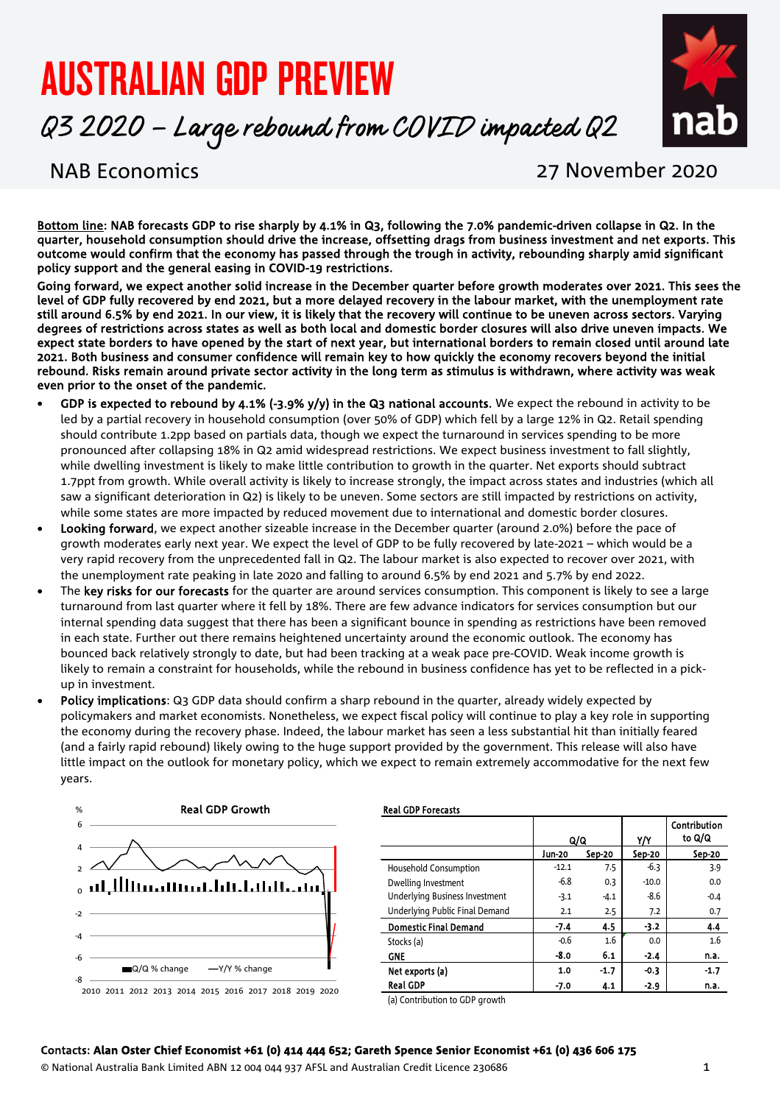# AUSTRALIAN GDP PREVIEW

Q3 2020 – Large rebound from COVID impacted Q2



# NAB Economics 27 November 2020

Bottom line: NAB forecasts GDP to rise sharply by 4.1% in Q3, following the 7.0% pandemic-driven collapse in Q2. In the quarter, household consumption should drive the increase, offsetting drags from business investment and net exports. This outcome would confirm that the economy has passed through the trough in activity, rebounding sharply amid significant policy support and the general easing in COVID-19 restrictions.

Going forward, we expect another solid increase in the December quarter before growth moderates over 2021. This sees the level of GDP fully recovered by end 2021, but a more delayed recovery in the labour market, with the unemployment rate still around 6.5% by end 2021. In our view, it is likely that the recovery will continue to be uneven across sectors. Varying degrees of restrictions across states as well as both local and domestic border closures will also drive uneven impacts. We expect state borders to have opened by the start of next year, but international borders to remain closed until around late 2021. Both business and consumer confidence will remain key to how quickly the economy recovers beyond the initial rebound. Risks remain around private sector activity in the long term as stimulus is withdrawn, where activity was weak even prior to the onset of the pandemic.

- GDP is expected to rebound by 4.1% (-3.9% y/y) in the Q3 national accounts. We expect the rebound in activity to be led by a partial recovery in household consumption (over 50% of GDP) which fell by a large 12% in Q2. Retail spending should contribute 1.2pp based on partials data, though we expect the turnaround in services spending to be more pronounced after collapsing 18% in Q2 amid widespread restrictions. We expect business investment to fall slightly, while dwelling investment is likely to make little contribution to growth in the quarter. Net exports should subtract 1.7ppt from growth. While overall activity is likely to increase strongly, the impact across states and industries (which all saw a significant deterioration in Q2) is likely to be uneven. Some sectors are still impacted by restrictions on activity, while some states are more impacted by reduced movement due to international and domestic border closures.
- Looking forward, we expect another sizeable increase in the December quarter (around 2.0%) before the pace of growth moderates early next year. We expect the level of GDP to be fully recovered by late-2021 – which would be a very rapid recovery from the unprecedented fall in Q2. The labour market is also expected to recover over 2021, with the unemployment rate peaking in late 2020 and falling to around 6.5% by end 2021 and 5.7% by end 2022.
- The key risks for our forecasts for the quarter are around services consumption. This component is likely to see a large turnaround from last quarter where it fell by 18%. There are few advance indicators for services consumption but our internal spending data suggest that there has been a significant bounce in spending as restrictions have been removed in each state. Further out there remains heightened uncertainty around the economic outlook. The economy has bounced back relatively strongly to date, but had been tracking at a weak pace pre-COVID. Weak income growth is likely to remain a constraint for households, while the rebound in business confidence has yet to be reflected in a pickup in investment.
- Policy implications: Q3 GDP data should confirm a sharp rebound in the quarter, already widely expected by policymakers and market economists. Nonetheless, we expect fiscal policy will continue to play a key role in supporting the economy during the recovery phase. Indeed, the labour market has seen a less substantial hit than initially feared (and a fairly rapid rebound) likely owing to the huge support provided by the government. This release will also have little impact on the outlook for monetary policy, which we expect to remain extremely accommodative for the next few years.



#### Y/Y **Contribution** to Q/Q Jun-20 Sep-20 Sep-20 Sep-20 Household Consumption  $\begin{array}{|c|c|c|c|c|c|c|c|c|} \hline \end{array}$  -12.1  $\begin{array}{|c|c|c|c|c|c|c|c|} \hline \end{array}$  -6.3  $\begin{array}{|c|c|c|c|c|c|c|c|} \hline \end{array}$  3.9 Dwelling Investment 1 -6.8 0.3 -10.0 0.0 Underlying Business Investment  $\begin{vmatrix} 3.1 & -4.1 & -8.6 \end{vmatrix}$  -8.6 -0.4 Underlying Public Final Demand  $\begin{vmatrix} 2.1 & 2.5 & 7.2 & 0.7 \end{vmatrix}$ Domestic Final Demand  $\begin{array}{|c|c|c|c|c|c|c|c|c|} \hline \end{array}$  -7.4 4.5  $\begin{array}{|c|c|c|c|c|c|c|} \hline \end{array}$  -3.2  $\begin{array}{|c|c|c|c|c|c|} \hline \end{array}$  4.4 Stocks (a)  $-0.6$  1.6  $\begin{bmatrix} 0.0 & 1.6 \end{bmatrix}$  1.6 GNE  $-8.0$   $-6.1$   $-2.4$  n.a. Net exports (a)  $\begin{array}{|c|c|c|c|c|c|c|c|c|} \hline \text{N} & \text{1.0} & \text{-1.7} & \text{-0.3} & \text{-1.7} \ \hline \end{array}$ Real GDP -7.0 4.1 | -2.9 | n.a. Q/Q

(a) Contribution to GDP growth

### Contacts: **Alan Oster Chief Economist +61 (0) 414 444 652; Gareth Spence Senior Economist +61 (0) 436 606 175**

© National Australia Bank Limited ABN 12 004 044 937 AFSL and Australian Credit Licence 230686 1